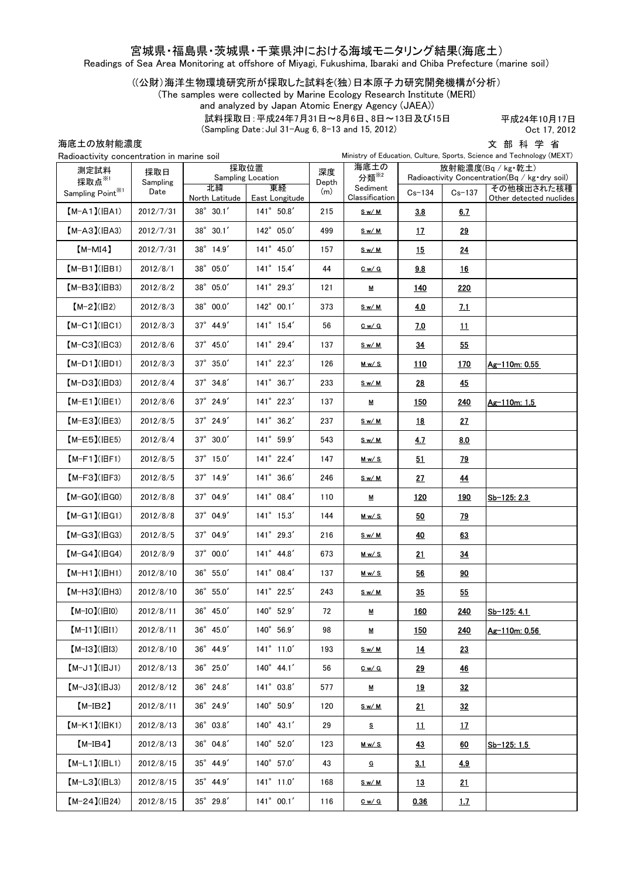### 宮城県・福島県・茨城県・千葉県沖における海域モニタリング結果(海底土)

Readings of Sea Area Monitoring at offshore of Miyagi, Fukushima, Ibaraki and Chiba Prefecture (marine soil)

### ((公財)海洋生物環境研究所が採取した試料を(独)日本原子力研究開発機構が分析)

(The samples were collected by Marine Ecology Research Institute (MERI) and analyzed by Japan Atomic Energy Agency (JAEA))

and analyzed by Japan Accinic Literal 。<br>試料採取日:平成24年7月31日~8月6日、8日~13日及び15日

(Sampling Date:Jul 31-Aug 6, 8-13 and 15, 2012)

平成24年10月17日 Oct 17, 2012

### 海底土の放射能濃度

文 部 科 学 省

| Radioactivity concentration in marine soil |                 |                                  |                      |             | Ministry of Education, Culture, Sports, Science and Technology (MEXT) |             |                 |                                                                                                          |  |  |
|--------------------------------------------|-----------------|----------------------------------|----------------------|-------------|-----------------------------------------------------------------------|-------------|-----------------|----------------------------------------------------------------------------------------------------------|--|--|
| 測定試料<br>採取点※1                              | 採取日<br>Sampling | 採取位置<br><b>Sampling Location</b> |                      | 深度<br>Depth | 海底土の<br>分類 <sup>※2</sup>                                              |             |                 | 放射能濃度(Ba / kg·乾土)<br>Radioactivity Concentration( $\textsf{Bq}\,/\,\textsf{kg}\cdot\textsf{dry}\,$ soil) |  |  |
| Sampling Point <sup>*1</sup>               | Date            | 北緯<br>North Latitude             | 東経<br>East Longitude | (m)         | Sediment<br>Classification                                            | $Cs - 134$  | $Cs - 137$      | その他検出された核種<br>Other detected nuclides                                                                    |  |  |
| $[M-A1](HA1)$                              | 2012/7/31       | $38^{\circ}$ 30.1'               | 141° 50.8'           | 215         | Sw/M                                                                  | <u>3.8</u>  | 6.7             |                                                                                                          |  |  |
| $[M-A3](HA3)$                              | 2012/7/31       | $38^{\circ}$ 30.1'               | 142° 05.0'           | 499         | <u>Sw/M</u>                                                           | 17          | 29              |                                                                                                          |  |  |
| $[M-MI4]$                                  | 2012/7/31       | 38° 14.9'                        | 141° 45.0'           | 157         | Sw/M                                                                  | <u>15</u>   | <u>24</u>       |                                                                                                          |  |  |
| $(M-B1)(IBB1)$                             | 2012/8/1        | $38^{\circ}$ 05.0'               | $141^{\circ}$ 15.4'  | 44          | Gw/G                                                                  | 9.8         | <u>16</u>       |                                                                                                          |  |  |
| $[M-B3]$ ( $IB3$ )                         | 2012/8/2        | $38^{\circ}$ 05.0'               | 141° 29.3'           | 121         | M                                                                     | <u>140</u>  | <u> 220</u>     |                                                                                                          |  |  |
| $[M-2](H2)$                                | 2012/8/3        | $38^{\circ}$ 00.0'               | 142° 00.1'           | 373         | Sw/M                                                                  | 4.0         | <u> 7.1</u>     |                                                                                                          |  |  |
| $[M-C1]$ ( $ HCl$ )                        | 2012/8/3        | $37^{\circ}$ 44.9'               | $141^{\circ}$ 15.4'  | 56          | <u>Cw/G</u>                                                           | <u>7.0</u>  | <u> 11</u>      |                                                                                                          |  |  |
| $[M-C3]$ ( $HCO3$ )                        | 2012/8/6        | $37^{\circ}$ 45.0'               | $141^{\circ}$ 29.4'  | 137         | <u>Sw/M</u>                                                           | <u>34</u>   | 55              |                                                                                                          |  |  |
| $(M-D1)(HD1)$                              | 2012/8/3        | $37^\circ$ $35.0'$               | 141° 22.3'           | 126         | <u>Mw/S</u>                                                           | <u> 110</u> | <u> 170</u>     | Ag-110m: 0.55                                                                                            |  |  |
| $[M-D3]$ ( $ HD3$ )                        | 2012/8/4        | $37^{\circ}$ 34.8'               | 141° 36.7'           | 233         | Sw/M                                                                  | 28          | 45              |                                                                                                          |  |  |
| $[M-E1](IEE1)$                             | 2012/8/6        | 37° 24.9'                        | $141^{\circ}$ 22.3'  | 137         | M                                                                     | <u> 150</u> | <u> 240</u>     | Ag-110m: 1.5                                                                                             |  |  |
| $[M-E3](IEE3)$                             | 2012/8/5        | $37^{\circ}$ 24.9'               | $141^{\circ}$ 36.2'  | 237         | <u>Sw/M</u>                                                           | 18          | 27              |                                                                                                          |  |  |
| $[M-E5]$ (IBE5)                            | 2012/8/4        | $37^{\circ}$ 30.0'               | 141° 59.9'           | 543         | <u>Sw/M</u>                                                           | 4.7         | 8.0             |                                                                                                          |  |  |
| $(M-F1)(HF1)$                              | 2012/8/5        | 37° 15.0'                        | 141° 22.4'           | 147         | <u>Mw/S</u>                                                           | 51          | <u>79</u>       |                                                                                                          |  |  |
| $[M-F3](HF3)$                              | 2012/8/5        | $37^\circ$ 14.9'                 | $141^{\circ}$ 36.6'  | 246         | Sw/M                                                                  | 27          | 44              |                                                                                                          |  |  |
| $[M-GO](HGO)$                              | 2012/8/8        | $37^{\circ}$ 04.9'               | 141° 08.4'           | 110         | M                                                                     | <u>120</u>  | <u>190</u>      | Sb-125: 2.3                                                                                              |  |  |
| $[M-G1]$ ( $H$ G1)                         | 2012/8/8        | $37^{\circ}$ 04.9'               | $141^{\circ}$ 15.3'  | 144         | M w / S                                                               | 50          | <u>79</u>       |                                                                                                          |  |  |
| $[M-G3](HG3)$                              | 2012/8/5        | $37^{\circ}$ 04.9'               | 141° 29.3'           | 216         | <u>Sw/M</u>                                                           | 40          | 63              |                                                                                                          |  |  |
| $[M-G4](HG4)$                              | 2012/8/9        | $37^{\circ}$ 00.0'               | $141^{\circ}$ 44.8'  | 673         | <u>Mw/S</u>                                                           | 21          | 34              |                                                                                                          |  |  |
| $(M-H1)(HH1)$                              | 2012/8/10       | $36^{\circ}$ 55.0'               | $141^{\circ}$ 08.4'  | 137         | Mw/S                                                                  | 56          | 90              |                                                                                                          |  |  |
| $[M-H3]$ ( $HH3$ )                         | 2012/8/10       | $36^{\circ}$ 55.0'               | $141^{\circ}$ 22.5'  | 243         | <u>Sw/M</u>                                                           | 35          | 55              |                                                                                                          |  |  |
| $(M-IO)(III0)$                             | 2012/8/11       | $36^{\circ}$ 45.0'               | 140° 52.9'           | 72          | М                                                                     | <u> 160</u> | <u> 240</u>     | Sb-125: 4.1                                                                                              |  |  |
| $[M-I1]( H1)$                              | 2012/8/11       | $36^{\circ}$ 45.0'               | 140° 56.9'           | 98          | M                                                                     | 150         | <u>240</u>      | Ag-110m: 0.56                                                                                            |  |  |
| $[M-I3](H13)$                              | 2012/8/10       | $36^{\circ}$ 44.9'               | $141^{\circ}$ 11.0'  | 193         | <u>Sw/M</u>                                                           | <u>14</u>   | <u>23</u>       |                                                                                                          |  |  |
| $(M-J1)(HJ1)$                              | 2012/8/13       | $36^{\circ}$ 25.0'               | $140^{\circ}$ 44.1'  | 56          | <u>Cw/G</u>                                                           | <u>29</u>   | <u>46</u>       |                                                                                                          |  |  |
| $[M-J3](HJ3)$                              | 2012/8/12       | $36^{\circ}$ 24.8'               | 141° 03.8'           | 577         | M                                                                     | <u> 19</u>  | 32 <sub>2</sub> |                                                                                                          |  |  |
| $[M-IB2]$                                  | 2012/8/11       | $36^{\circ}$ 24.9'               | 140° 50.9'           | 120         | <u>Sw/M</u>                                                           | <u>21</u>   | <u>32</u>       |                                                                                                          |  |  |
| $[M-K1](HK1)$                              | 2012/8/13       | $36^{\circ}$ 03.8'               | $140^{\circ}$ 43.1'  | 29          | s.                                                                    | <u>11</u>   | <u>17</u>       |                                                                                                          |  |  |
| $[M-IB4]$                                  | 2012/8/13       | $36^{\circ}$ 04.8'               | 140° 52.0'           | 123         | <u>Mw/S</u>                                                           | <u>43</u>   | <u>60</u>       | Sb-125: 1.5                                                                                              |  |  |
| $[M-L1](HLI)$                              | 2012/8/15       | $35^{\circ}$ 44.9'               | 140° 57.0'           | 43          | Q                                                                     | <u>3.1</u>  | <u>4.9</u>      |                                                                                                          |  |  |
| $[M-L3](HL3)$                              | 2012/8/15       | $35^{\circ}$ 44.9'               | $141^{\circ}$ 11.0'  | 168         | <u>Sw/M</u>                                                           | <u>13</u>   | <u>21</u>       |                                                                                                          |  |  |
| $[M-24](H24)$                              | 2012/8/15       | $35^\circ$ $29.8'$               | $141^{\circ}$ 00.1'  | 116         | Cw/G                                                                  | 0.36        | <u>1.7</u>      |                                                                                                          |  |  |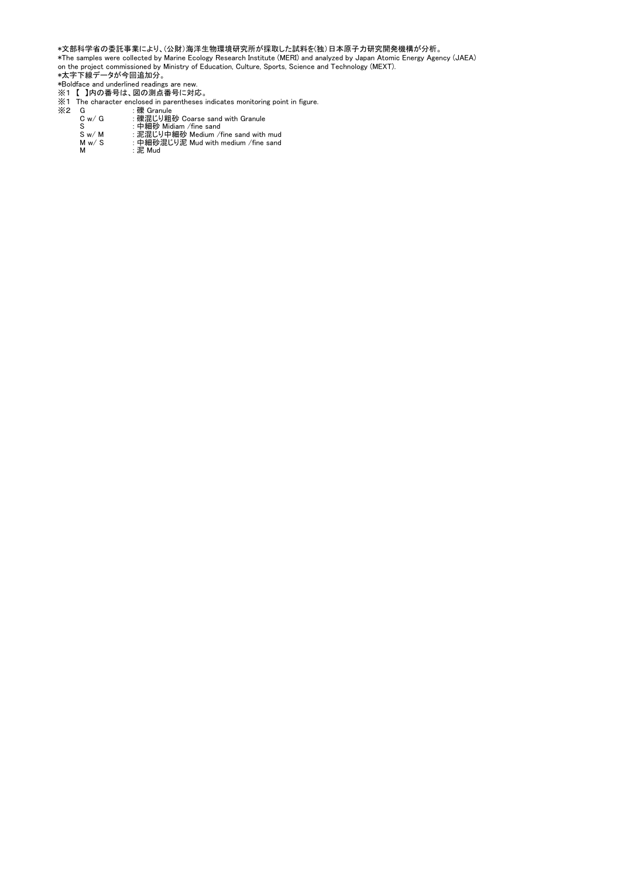### \*文部科学省の委託事業により、(公財)海洋生物環境研究所が採取した試料を(独)日本原子力研究開発機構が分析。

\*The samples were collected by Marine Ecology Research Institute (MERI) and analyzed by Japan Atomic Energy Agency (JAEA) on the project commissioned by Ministry of Education, Culture, Sports, Science and Technology (MEXT). \*太字下線データが今回追加分。

#### \*Boldface and underlined readings are new.

- ※1 【 】内の番号は、図の測点番号に対応。
- ※1 The character enclosed in parentheses indicates monitoring point in figure.
- $\frac{1}{2}$ <br>  $\frac{1}{2}$  G  $\frac{1}{2}$ <br>  $\frac{1}{2}$  G  $\frac{1}{2}$ <br>  $\frac{1}{2}$  G  $\frac{1}{2}$ <br>  $\frac{1}{2}$ <br>  $\frac{1}{2}$ <br>  $\frac{1}{2}$ <br>  $\frac{1}{2}$ <br>  $\frac{1}{2}$ <br>  $\frac{1}{2}$ <br>  $\frac{1}{2}$ <br>  $\frac{1}{2}$ <br>  $\frac{1}{2}$ <br>  $\frac{1}{2}$ <br>  $\frac{1}{2}$ <br>  $\frac{1}{2}$ <br>  $\frac{1}{2}$ 
	-
	-
- C w / G :礫混じり粗砂 Coarse sand with Granule<br>S :中細砂 Midiam /fine sand<br>S w / M :泥混じリ中細砂 Medium /fine sand with mud<br>M w / S :泥 Mud<br>M
	-
	-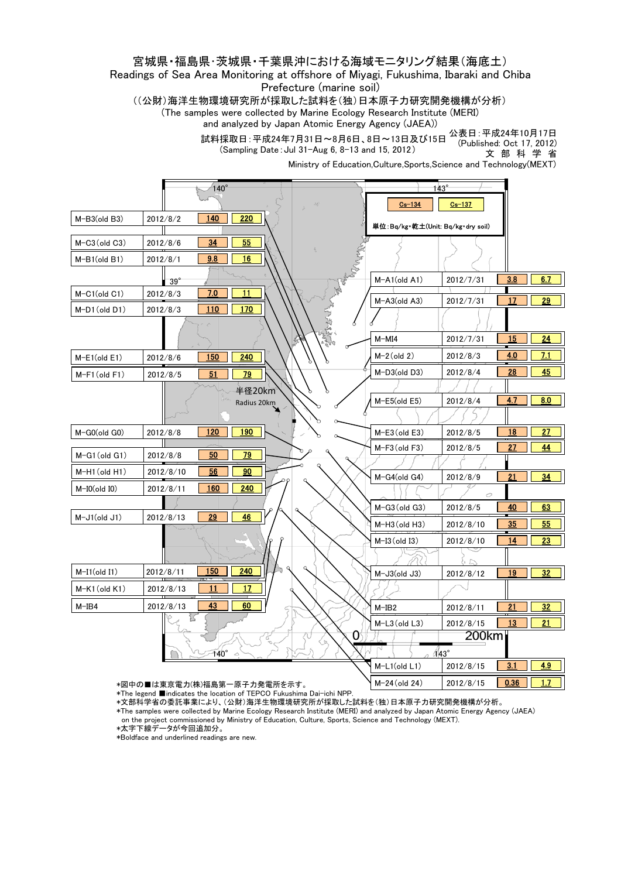### 宮城県・福島県・茨城県・千葉県沖における海域モニタリング結果(海底土)

### Readings of Sea Area Monitoring at offshore of Miyagi, Fukushima, Ibaraki and Chiba Prefecture (marine soil)

((公財)海洋生物環境研究所が採取した試料を(独)日本原子力研究開発機構が分析)

(The samples were collected by Marine Ecology Research Institute (MERI) and analyzed by Japan Atomic Energy Agency (JAEA))

試料採取日:平成24年7月31日~8月6日、8日~13日及び15日 公表日:平成24年10月17日

(Sampling Date:Jul 31-Aug 6, 8-13 and 15, 2012) (Published: Oct 17, 2012) 文 部 科 学 省

Ministry of Education,Culture,Sports,Science and Technology(MEXT)

|                    |            | $140^\circ$                 |    |                 | $143^\circ$                       |            |                 |                 |
|--------------------|------------|-----------------------------|----|-----------------|-----------------------------------|------------|-----------------|-----------------|
|                    |            |                             |    |                 | $Cs - 134$                        | $Cs - 137$ |                 |                 |
| M-B3(old B3)       | 2012/8/2   | 220<br>140                  |    |                 | 単位:Bq/kg・乾土(Unit: Bq/kg・dry soil) |            |                 |                 |
| $M-C3$ (old $C3$ ) | 2012/8/6   | 34<br>55                    |    |                 |                                   |            |                 |                 |
| $M-B1(old B1)$     | 2012/8/1   | 9.8<br>16                   |    |                 |                                   |            |                 |                 |
|                    | $39^\circ$ |                             |    |                 | $M-A1(old A1)$                    | 2012/7/31  | 3.8             | 6.7             |
| $M-C1(old C1)$     | 2012/8/3   | 7.0<br>11                   |    |                 | $M-A3$ (old A3)                   | 2012/7/31  | 17              | $\overline{29}$ |
| $M-D1$ (old $D1$ ) | 2012/8/3   | 110<br>170                  |    |                 |                                   |            |                 |                 |
|                    |            |                             |    | <b>CONTRACT</b> |                                   |            |                 |                 |
|                    |            |                             |    |                 | $M-MI4$                           | 2012/7/31  | 15              | 24              |
| $M-E1(old E1)$     | 2012/8/6   | 240<br><b>150</b>           |    |                 | $M-2$ (old 2)                     | 2012/8/3   | 4.0             | 7.1             |
| $M-F1$ (old $F1$ ) | 2012/8/5   | 51<br>79                    |    |                 | $M-D3$ (old D3)                   | 2012/8/4   | <u> 28</u>      | 45              |
|                    |            | 半径20km                      |    | P               |                                   |            |                 |                 |
|                    |            | Radius 20km                 |    |                 | $M-E5$ (old E5)                   | 2012/8/4   | 4.7             | 8.0             |
|                    |            |                             |    |                 |                                   |            |                 |                 |
| M-G0(old G0)       | 2012/8/8   | <u>120</u><br><u>190</u>    |    |                 | $M-E3$ (old $E3$ )                | 2012/8/5   | 18              | 27              |
| $M-G1$ (old $G1$ ) | 2012/8/8   | $\overline{79}$<br>50       |    |                 | $M-F3$ (old $F3$ )                | 2012/8/5   | 27              | 44              |
| $M-H1$ (old $H1$ ) | 2012/8/10  | 56<br>90                    |    |                 |                                   |            |                 |                 |
|                    |            |                             |    |                 | $M-G4$ (old $G4$ )                | 2012/8/9   | 21              | 34              |
| $M-I0(old I0)$     | 2012/8/11  | 160<br>240                  |    |                 |                                   | 0          |                 |                 |
| $M-J1(old J1)$     | 2012/8/13  | 29<br>46                    |    | Q               | $M-G3$ (old $G3$ )                | 2012/8/5   | 40              | 63              |
|                    |            |                             |    |                 | $M-H3$ (old $H3$ )                | 2012/8/10  | 35              | 55              |
|                    |            |                             |    |                 | $M-I3$ (old I3)                   | 2012/8/10  | 14              | $\overline{23}$ |
|                    |            |                             |    |                 |                                   |            |                 |                 |
| $M-I1(old I1)$     | 2012/8/11  | $\overline{240}$<br>150     |    |                 | $M-J3$ (old $J3$ )                | 2012/8/12  | 19              | $\overline{32}$ |
| $M-K1$ (old $K1$ ) | 2012/8/13  | 11<br>17                    |    |                 |                                   |            |                 |                 |
| $M-IB4$            | 2012/8/13  | 43<br>60                    |    |                 | $M-IB2$                           | 2012/8/11  | $\overline{21}$ | $\overline{32}$ |
|                    |            |                             |    |                 | $M-L3$ (old $L3$ )                | 2012/8/15  | 13              | $\overline{21}$ |
|                    |            | 140°                        | O. | ം 443°          | 200km                             |            |                 |                 |
|                    |            |                             |    |                 | $M-L1$ (old L1)                   | 2012/8/15  | 3.1             | 4.9             |
|                    |            | *図中の■は東京電力(株)福島第一原子力発電所を示す。 |    |                 | M-24 (old 24)                     | 2012/8/15  | 0.36            | 1.7             |

\*The legend ■indicates the location of TEPCO Fukushima Dai-ichi NPP.

\*文部科学省の委託事業により、(公財)海洋生物環境研究所が採取した試料を(独)日本原子力研究開発機構が分析。

\*The samples were collected by Marine Ecology Research Institute (MERI) and analyzed by Japan Atomic Energy Agency (JAEA) on the project commissioned by Ministry of Education, Culture, Sports, Science and Technology (MEXT).

\*太字下線データが今回追加分。

\*Boldface and underlined readings are new.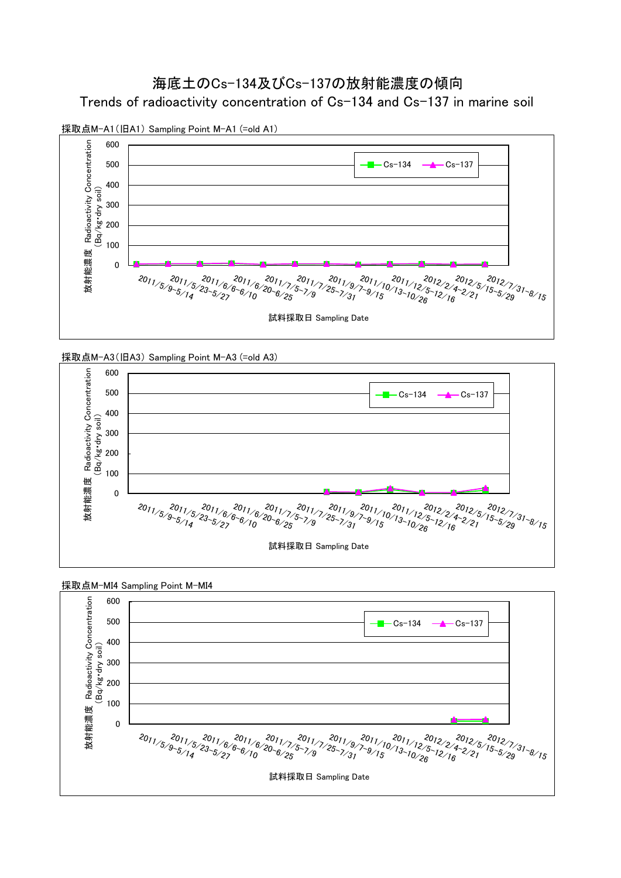Trends of radioactivity concentration of Cs-134 and Cs-137 in marine soil



採取点M-A1(旧A1) Sampling Point M-A1 (=old A1)





### 採取点M-MI4 Sampling Point M-MI4

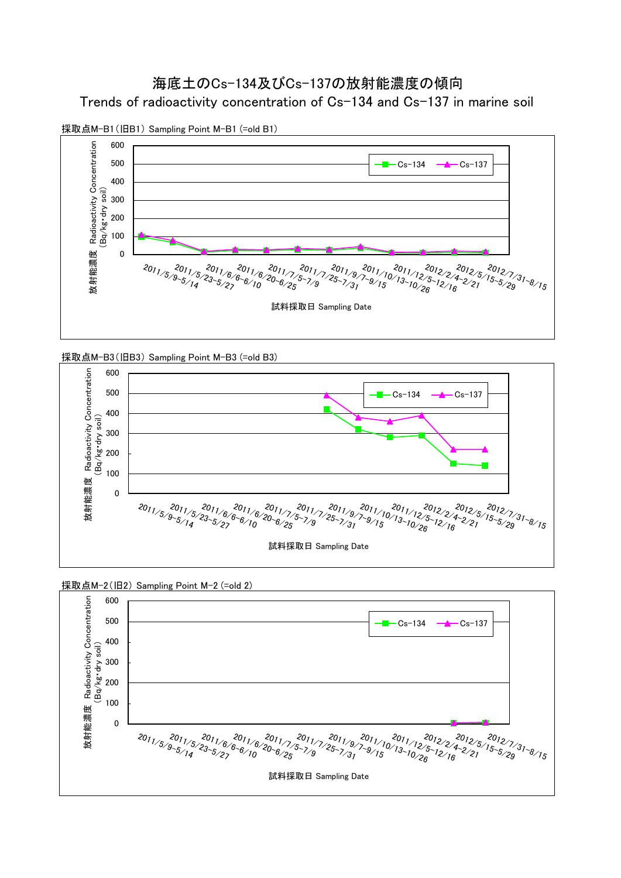# 海底土のCs-134及びCs-137の放射能濃度の傾向 Trends of radioactivity concentration of Cs-134 and Cs-137 in marine soil



採取点M-B1(旧B1) Sampling Point M-B1 (=old B1)





### 採取点M-2(旧2) Sampling Point M-2 (=old 2)

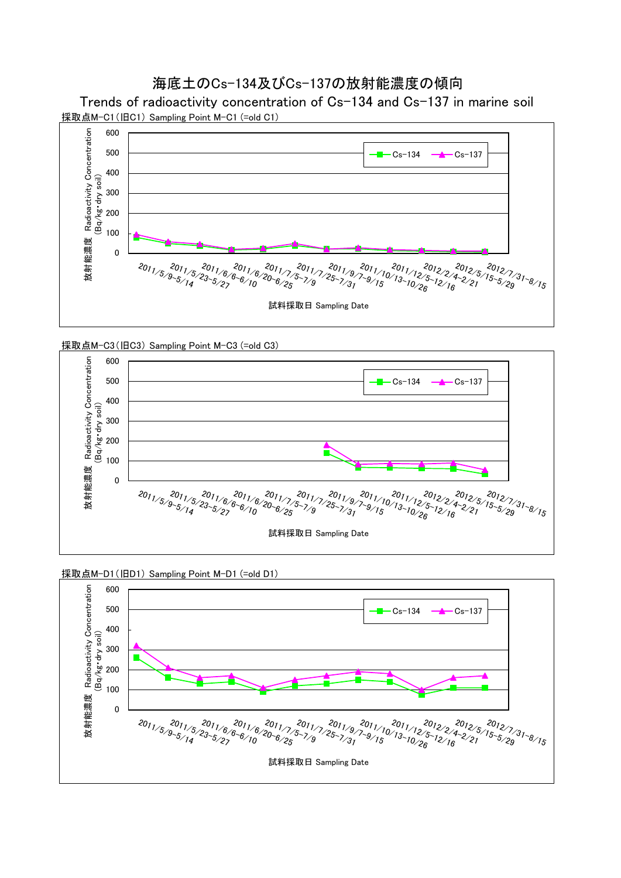採取点M-C1(旧C1) Sampling Point M-C1 (=old C1) Trends of radioactivity concentration of Cs-134 and Cs-137 in marine soil







#### 採取点M-D1(旧D1) Sampling Point M-D1 (=old D1)

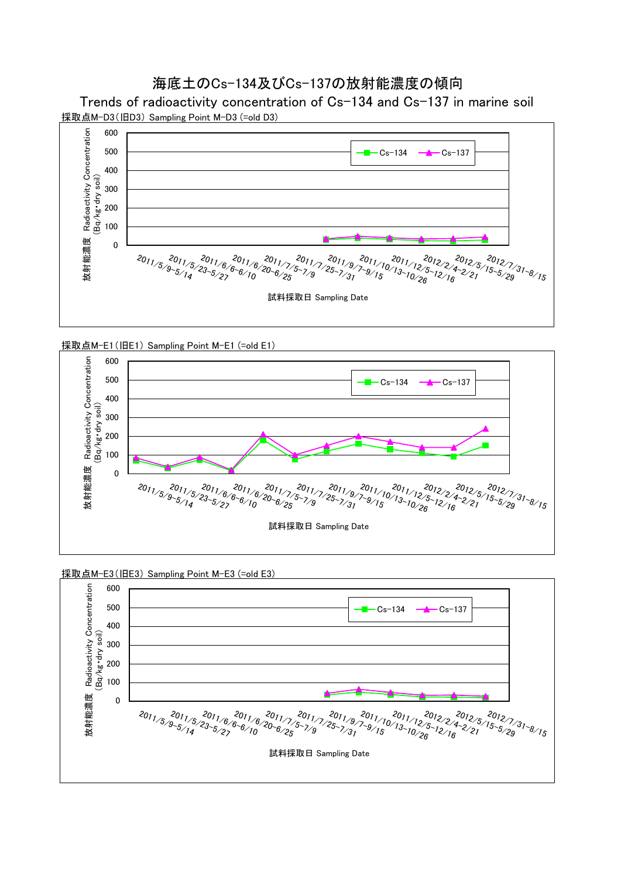採取点M-D3(旧D3) Sampling Point M-D3 (=old D3) Trends of radioactivity concentration of Cs-134 and Cs-137 in marine soil







#### 採取点M-E3(旧E3) Sampling Point M-E3 (=old E3)

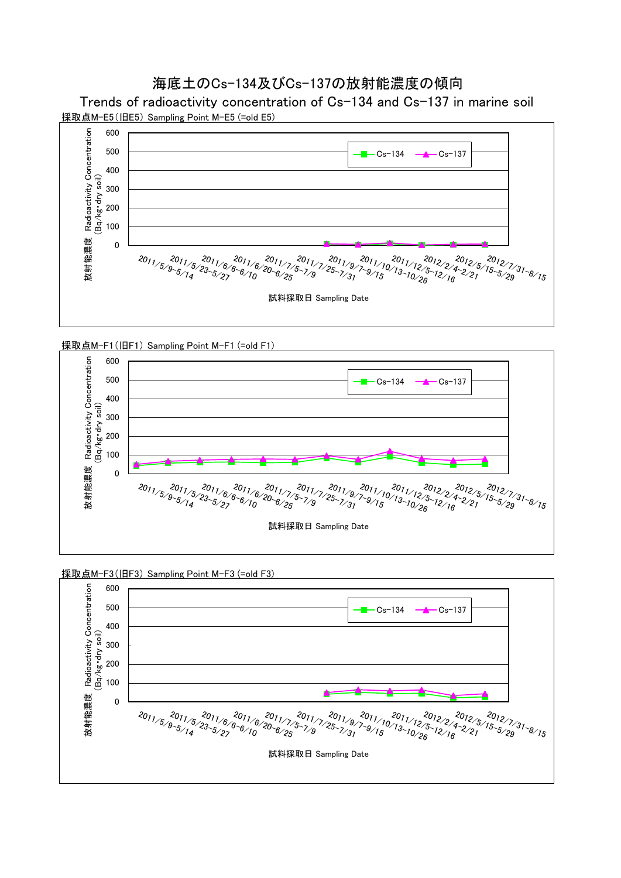採取点M-E5(旧E5) Sampling Point M-E5 (=old E5) Trends of radioactivity concentration of Cs-134 and Cs-137 in marine soil







#### 採取点M-F3(旧F3) Sampling Point M-F3 (=old F3)

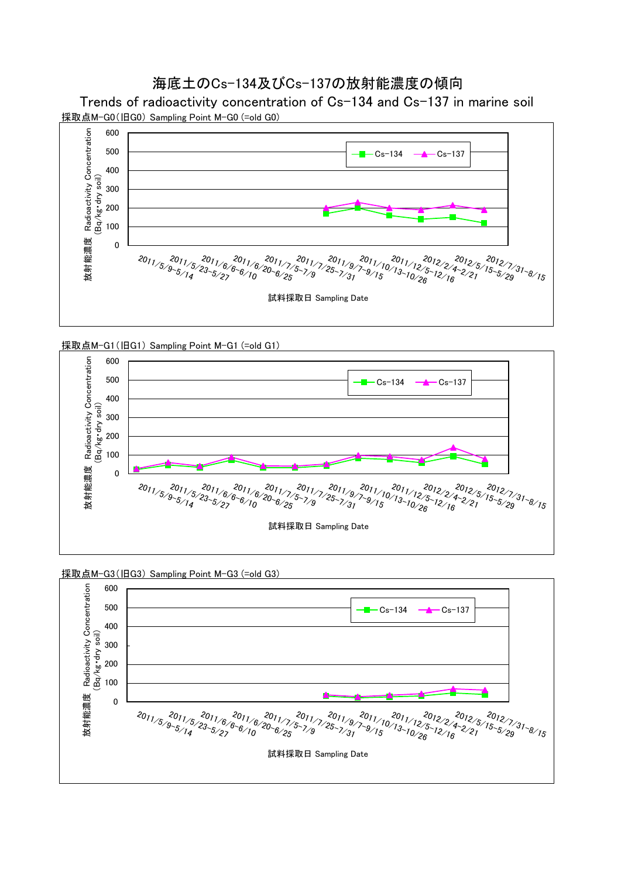採取点M-G0(旧G0) Sampling Point M-G0 (=old G0) Trends of radioactivity concentration of Cs-134 and Cs-137 in marine soil







#### 採取点M-G3(旧G3) Sampling Point M-G3 (=old G3)

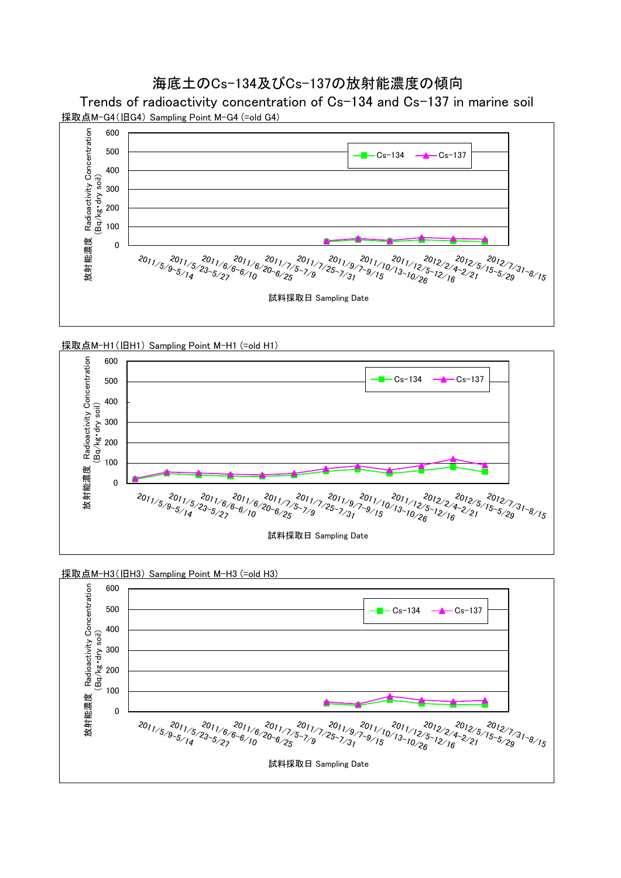採取点M-G4(旧G4) Sampling Point M-G4 (=old G4) Trends of radioactivity concentration of Cs-134 and Cs-137 in marine soil







#### 採取点M-H3(旧H3) Sampling Point M-H3 (=old H3)

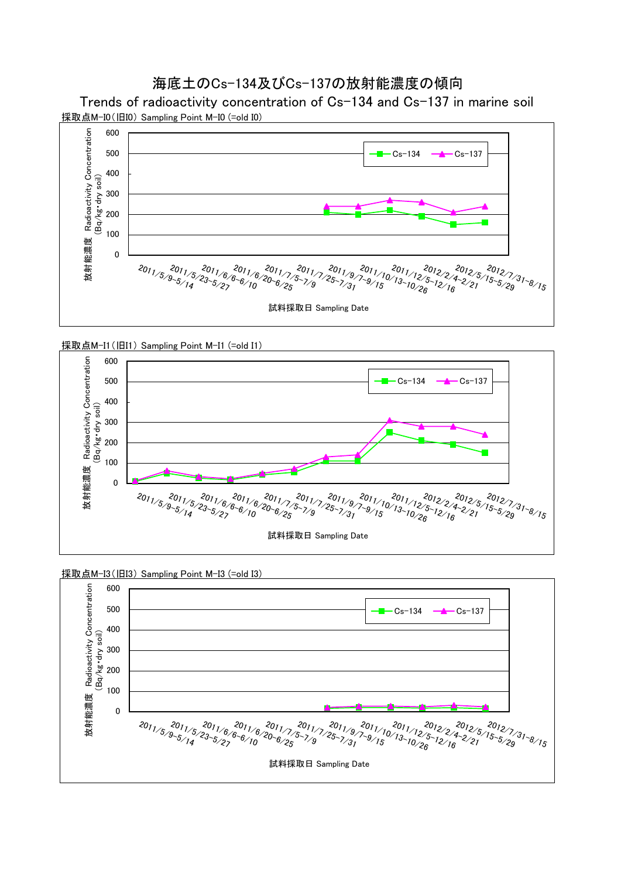採取点M-I0(旧I0) Sampling Point M-I0 (=old I0) Trends of radioactivity concentration of Cs-134 and Cs-137 in marine soil



採取点M-I1(旧I1) Sampling Point M-I1 (=old I1)



#### 採取点M-I3(旧I3) Sampling Point M-I3 (=old I3)

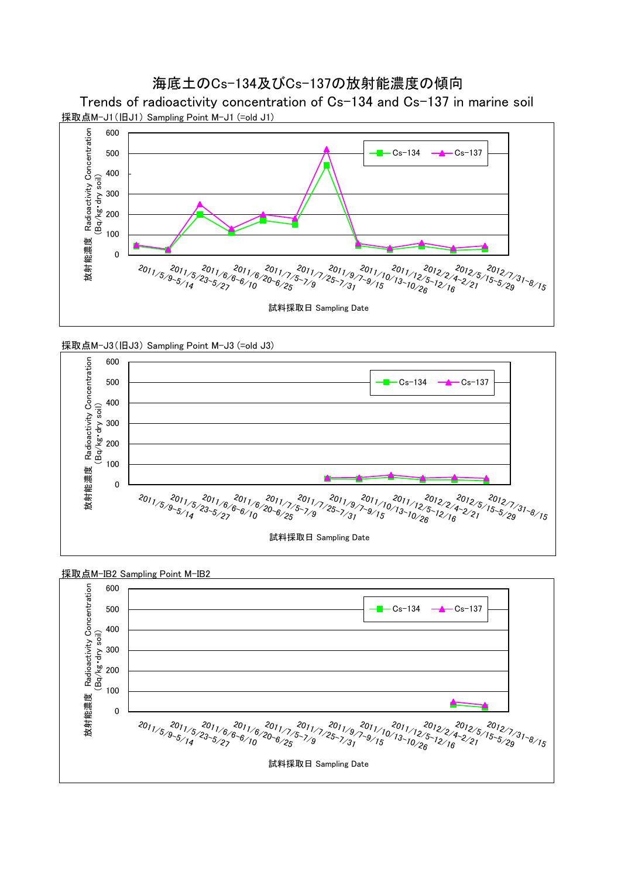採取点M-J1(旧J1) Sampling Point M-J1 (=old J1) Trends of radioactivity concentration of Cs-134 and Cs-137 in marine soil









採取点M-IB2 Sampling Point M-IB2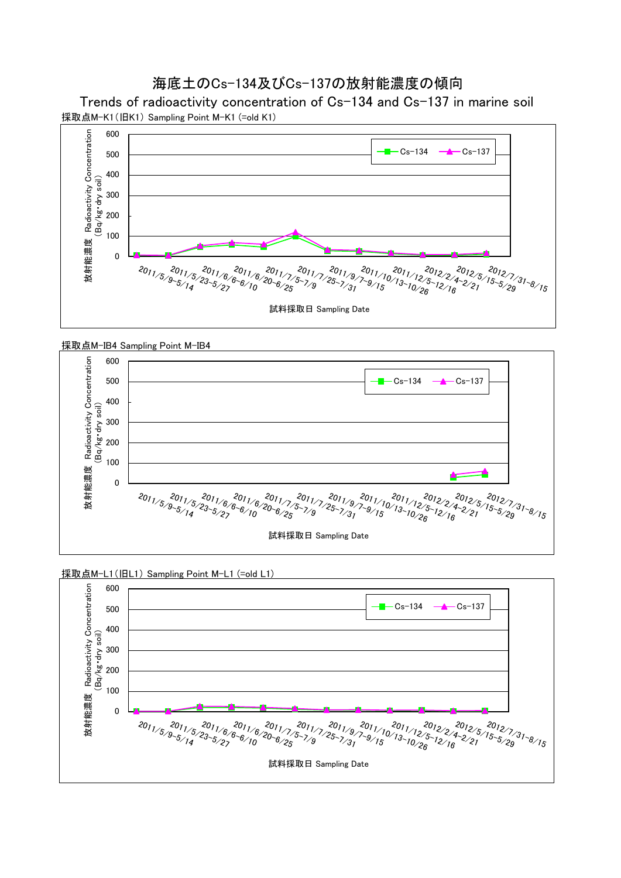採取点M-K1(旧K1) Sampling Point M-K1 (=old K1) Trends of radioactivity concentration of Cs-134 and Cs-137 in marine soil





#### 採取点M-L1(旧L1) Sampling Point M-L1 (=old L1)